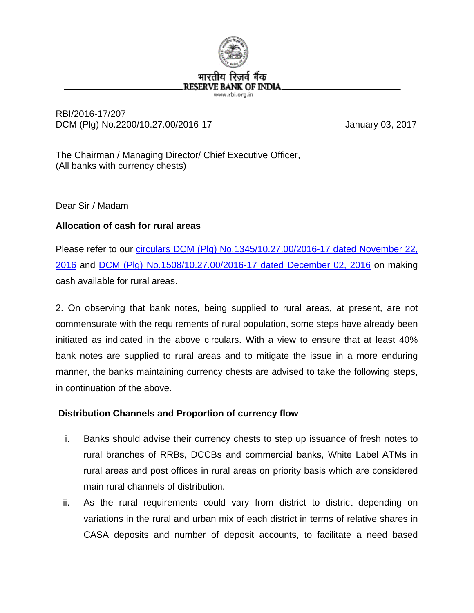

#### RBI/2016-17/207 DCM (Plg) No.2200/10.27.00/2016-17 January 03, 2017

The Chairman / Managing Director/ Chief Executive Officer, (All banks with currency chests)

Dear Sir / Madam

## **Allocation of cash for rural areas**

Please refer to our *circulars DCM (Plg) No.1345/10.27.00/2016-17* dated November 22, [2016](https://rbi.org.in/Scripts/NotificationUser.aspx?Id=10732&Mode=0) and [DCM \(Plg\) No.1508/10.27.00/2016-17](https://rbi.org.in/Scripts/NotificationUser.aspx?Id=10759&Mode=0) dated December 02, 2016 on making cash available for rural areas.

2. On observing that bank notes, being supplied to rural areas, at present, are not commensurate with the requirements of rural population, some steps have already been initiated as indicated in the above circulars. With a view to ensure that at least 40% bank notes are supplied to rural areas and to mitigate the issue in a more enduring manner, the banks maintaining currency chests are advised to take the following steps, in continuation of the above.

## **Distribution Channels and Proportion of currency flow**

- i. Banks should advise their currency chests to step up issuance of fresh notes to rural branches of RRBs, DCCBs and commercial banks, White Label ATMs in rural areas and post offices in rural areas on priority basis which are considered main rural channels of distribution.
- ii. As the rural requirements could vary from district to district depending on variations in the rural and urban mix of each district in terms of relative shares in CASA deposits and number of deposit accounts, to facilitate a need based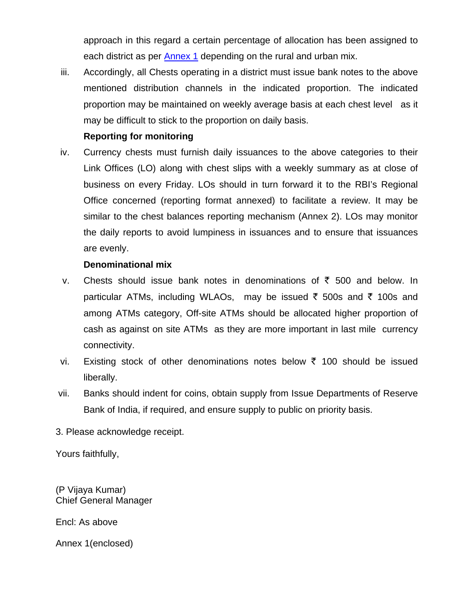approach in this regard a certain percentage of allocation has been assigned to each district as per [Annex](http://rbidocs.rbi.org.in/rdocs/content/docs/ACRA03012017_AN1.xls) 1 depending on the rural and urban mix.

iii. Accordingly, all Chests operating in a district must issue bank notes to the above mentioned distribution channels in the indicated proportion. The indicated proportion may be maintained on weekly average basis at each chest level as it may be difficult to stick to the proportion on daily basis.

#### **Reporting for monitoring**

iv. Currency chests must furnish daily issuances to the above categories to their Link Offices (LO) along with chest slips with a weekly summary as at close of business on every Friday. LOs should in turn forward it to the RBI's Regional Office concerned (reporting format annexed) to facilitate a review. It may be similar to the chest balances reporting mechanism (Annex 2). LOs may monitor the daily reports to avoid lumpiness in issuances and to ensure that issuances are evenly.

#### **Denominational mix**

- v. Chests should issue bank notes in denominations of  $\bar{\tau}$  500 and below. In particular ATMs, including WLAOs, may be issued  $\bar{\tau}$  500s and  $\bar{\tau}$  100s and among ATMs category, Off-site ATMs should be allocated higher proportion of cash as against on site ATMs as they are more important in last mile currency connectivity.
- vi. Existing stock of other denominations notes below  $\bar{\tau}$  100 should be issued liberally.
- vii. Banks should indent for coins, obtain supply from Issue Departments of Reserve Bank of India, if required, and ensure supply to public on priority basis.
- 3. Please acknowledge receipt.

Yours faithfully,

(P Vijaya Kumar) Chief General Manager

Encl: As above

Annex 1(enclosed)